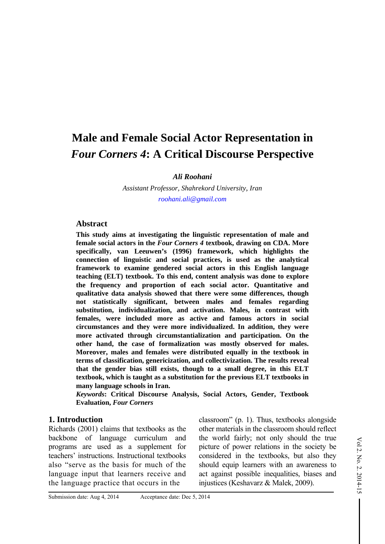# **Male and Female Social Actor Representation in**  *Four Corners 4***: A Critical Discourse Perspective**

*Ali Roohani*

*Assistant Professor, Shahrekord University, Iran roohani.ali@gmail.com*

#### **Abstract**

**This study aims at investigating the linguistic representation of male and female social actors in the** *Four Corners 4* **textbook, drawing on CDA. More specifically, van Leeuwen's (1996) framework, which highlights the connection of linguistic and social practices, is used as the analytical framework to examine gendered social actors in this English language teaching (ELT) textbook. To this end, content analysis was done to explore the frequency and proportion of each social actor. Quantitative and qualitative data analysis showed that there were some differences, though not statistically significant, between males and females regarding substitution, individualization, and activation. Males, in contrast with females, were included more as active and famous actors in social circumstances and they were more individualized. In addition, they were more activated through circumstantialization and participation. On the other hand, the case of formalization was mostly observed for males. Moreover, males and females were distributed equally in the textbook in terms of classification, genericization, and collectivization. The results reveal that the gender bias still exists, though to a small degree, in this ELT textbook, which is taught as a substitution for the previous ELT textbooks in many language schools in Iran.** 

*Keywords***: Critical Discourse Analysis, Social Actors, Gender, Textbook Evaluation,** *Four Corners* 

#### **1. Introduction**

Richards (2001) claims that textbooks as the backbone of language curriculum and programs are used as a supplement for teachers' instructions. Instructional textbooks also "serve as the basis for much of the language input that learners receive and the language practice that occurs in the

classroom" (p. 1). Thus, textbooks alongside other materials in the classroom should reflect the world fairly; not only should the true picture of power relations in the society be considered in the textbooks, but also they should equip learners with an awareness to act against possible inequalities, biases and injustices (Keshavarz & Malek, 2009).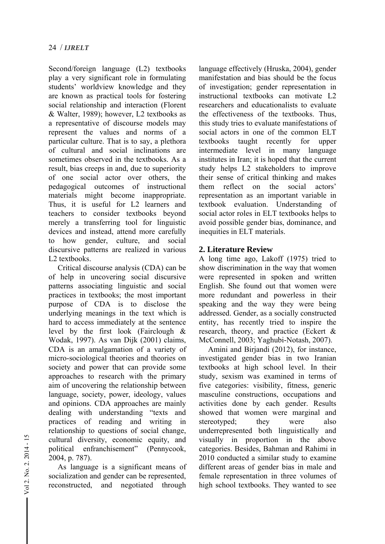Second/foreign language (L2) textbooks play a very significant role in formulating students' worldview knowledge and they are known as practical tools for fostering social relationship and interaction (Florent & Walter, 1989); however, L2 textbooks as a representative of discourse models may represent the values and norms of a particular culture. That is to say, a plethora of cultural and social inclinations are sometimes observed in the textbooks. As a result, bias creeps in and, due to superiority of one social actor over others, the pedagogical outcomes of instructional materials might become inappropriate. Thus, it is useful for L2 learners and teachers to consider textbooks beyond merely a transferring tool for linguistic devices and instead, attend more carefully to how gender, culture, and social discursive patterns are realized in various L2 textbooks.

Critical discourse analysis (CDA) can be of help in uncovering social discursive patterns associating linguistic and social practices in textbooks; the most important purpose of CDA is to disclose the underlying meanings in the text which is hard to access immediately at the sentence level by the first look (Fairclough & Wodak, 1997). As van Dijk (2001) claims, CDA is an amalgamation of a variety of micro-sociological theories and theories on society and power that can provide some approaches to research with the primary aim of uncovering the relationship between language, society, power, ideology, values and opinions. CDA approaches are mainly dealing with understanding "texts and practices of reading and writing in relationship to questions of social change, cultural diversity, economic equity, and political enfranchisement" (Pennycook, 2004, p. 787).

As language is a significant means of socialization and gender can be represented, reconstructed, and negotiated through language effectively (Hruska, 2004), gender manifestation and bias should be the focus of investigation; gender representation in instructional textbooks can motivate L2 researchers and educationalists to evaluate the effectiveness of the textbooks. Thus, this study tries to evaluate manifestations of social actors in one of the common ELT textbooks taught recently for upper intermediate level in many language institutes in Iran; it is hoped that the current study helps L2 stakeholders to improve their sense of critical thinking and makes them reflect on the social actors' representation as an important variable in textbook evaluation. Understanding of social actor roles in ELT textbooks helps to avoid possible gender bias, dominance, and inequities in ELT materials.

# **2. Literature Review**

A long time ago, Lakoff (1975) tried to show discrimination in the way that women were represented in spoken and written English. She found out that women were more redundant and powerless in their speaking and the way they were being addressed. Gender, as a socially constructed entity, has recently tried to inspire the research, theory, and practice (Eckert & McConnell, 2003; Yaghubi-Notash, 2007).

Amini and Birjandi (2012), for instance, investigated gender bias in two Iranian textbooks at high school level. In their study, sexism was examined in terms of five categories: visibility, fitness, generic masculine constructions, occupations and activities done by each gender. Results showed that women were marginal and stereotyped; they were also underrepresented both linguistically and visually in proportion in the above categories. Besides, Bahman and Rahimi in 2010 conducted a similar study to examine different areas of gender bias in male and female representation in three volumes of high school textbooks. They wanted to see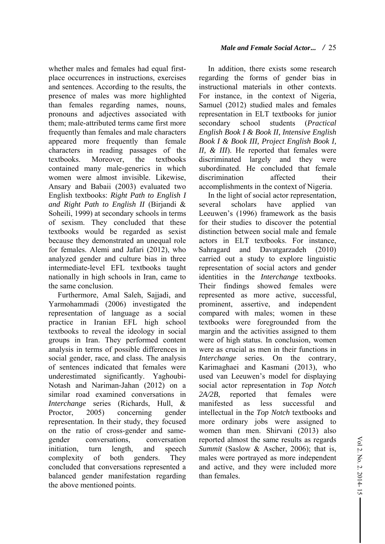whether males and females had equal firstplace occurrences in instructions, exercises and sentences. According to the results, the presence of males was more highlighted than females regarding names, nouns, pronouns and adjectives associated with them; male-attributed terms came first more frequently than females and male characters appeared more frequently than female characters in reading passages of the textbooks. Moreover, the textbooks contained many male-generics in which women were almost invisible. Likewise, Ansary and Babaii (2003) evaluated two English textbooks: *Right Path to English I and Right Path to English II* (Birjandi & Soheili, 1999) at secondary schools in terms of sexism. They concluded that these textbooks would be regarded as sexist because they demonstrated an unequal role for females. Alemi and Jafari (2012), who analyzed gender and culture bias in three intermediate-level EFL textbooks taught nationally in high schools in Iran, came to the same conclusion.

Furthermore, Amal Saleh, Sajjadi, and Yarmohammadi (2006) investigated the representation of language as a social practice in Iranian EFL high school textbooks to reveal the ideology in social groups in Iran. They performed content analysis in terms of possible differences in social gender, race, and class. The analysis of sentences indicated that females were underestimated significantly. Yaghoubi-Notash and Nariman-Jahan (2012) on a similar road examined conversations in *Interchange* series (Richards, Hull, & Proctor, 2005) concerning gender representation. In their study, they focused on the ratio of cross-gender and samegender conversations, conversation initiation, turn length, and speech complexity of both genders. They concluded that conversations represented a balanced gender manifestation regarding the above mentioned points.

## *Male and Female Social Actor***...** */* 25

In addition, there exists some research regarding the forms of gender bias in instructional materials in other contexts. For instance, in the context of Nigeria, Samuel (2012) studied males and females representation in ELT textbooks for junior secondary school students (*Practical English Book I & Book II, Intensive English Book I & Book III, Project English Book I, II, & III*). He reported that females were discriminated largely and they were subordinated. He concluded that female discrimination affected their accomplishments in the context of Nigeria.

In the light of social actor representation, several scholars have applied van Leeuwen's (1996) framework as the basis for their studies to discover the potential distinction between social male and female actors in ELT textbooks. For instance, Sahragard and Davatgarzadeh (2010) carried out a study to explore linguistic representation of social actors and gender identities in the *Interchange* textbooks. Their findings showed females were represented as more active, successful, prominent, assertive, and independent compared with males; women in these textbooks were foregrounded from the margin and the activities assigned to them were of high status. In conclusion, women were as crucial as men in their functions in *Interchange* series. On the contrary, Karimaghaei and Kasmani (2013), who used van Leeuwen's model for displaying social actor representation in *Top Notch 2A/2B*, reported that females were manifested as less successful and intellectual in the *Top Notch* textbooks and more ordinary jobs were assigned to women than men. Shirvani (2013) also reported almost the same results as regards *Summit* (Saslow & Ascher, 2006); that is, males were portrayed as more independent and active, and they were included more than females.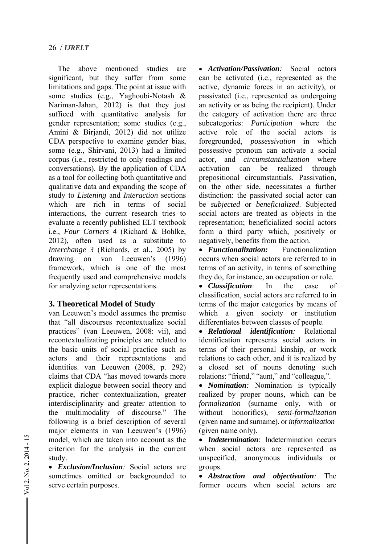The above mentioned studies are significant, but they suffer from some limitations and gaps. The point at issue with some studies (e.g., Yaghoubi-Notash & Nariman-Jahan, 2012) is that they just sufficed with quantitative analysis for gender representation; some studies (e.g., Amini & Birjandi, 2012) did not utilize CDA perspective to examine gender bias, some (e.g., Shirvani, 2013) had a limited corpus (i.e., restricted to only readings and conversations). By the application of CDA as a tool for collecting both quantitative and qualitative data and expanding the scope of study to *Listening* and *Interaction* sections which are rich in terms of social interactions, the current research tries to evaluate a recently published ELT textbook i.e., *Four Corners 4* (Richard & Bohlke, 2012), often used as a substitute to *Interchange 3* (Richards, et al., 2005) by drawing on van Leeuwen's (1996) framework, which is one of the most frequently used and comprehensive models for analyzing actor representations.

## **3. Theoretical Model of Study**

van Leeuwen's model assumes the premise that "all discourses recontextualize social practices" (van Leeuwen, 2008: vii), and recontextualizating principles are related to the basic units of social practice such as actors and their representations and identities. van Leeuwen (2008, p. 292) claims that CDA "has moved towards more explicit dialogue between social theory and practice, richer contextualization, greater interdisciplinarity and greater attention to the multimodality of discourse." The following is a brief description of several major elements in van Leeuwen's (1996) model, which are taken into account as the criterion for the analysis in the current study.

 *Exclusion/Inclusion:* Social actors are sometimes omitted or backgrounded to serve certain purposes.

 *Activation/Passivation:* Social actors can be activated (i.e., represented as the active, dynamic forces in an activity), or passivated (i.e., represented as undergoing an activity or as being the recipient). Under the category of activation there are three subcategories: *Participation* where the active role of the social actors is foregrounded, *possessivation* in which possessive pronoun can activate a social actor, and *circumstantialization* where activation can be realized through prepositional circumstantials. Passivation, on the other side, necessitates a further distinction: the passivated social actor can be *subjected* or *beneficialized*. Subjected social actors are treated as objects in the representation; beneficialized social actors form a third party which, positively or negatively, benefits from the action.

 *Functionalization:* Functionalization occurs when social actors are referred to in terms of an activity, in terms of something they do, for instance, an occupation or role.

 *Classification*: In the case of classification, social actors are referred to in terms of the major categories by means of which a given society or institution differentiates between classes of people.

 *Relational identification:* Relational identification represents social actors in terms of their personal kinship, or work relations to each other, and it is realized by a closed set of nouns denoting such relations: "friend," "aunt," and "colleague,".

• *Nomination*: Nomination is typically realized by proper nouns, which can be *formalization* (surname only, with or without honorifics), *semi-formalization*  (given name and surname), or *informalization* (given name only).

 *Indetermination:* Indetermination occurs when social actors are represented as unspecified, anonymous individuals or groups.

 *Abstraction and objectivation:* The former occurs when social actors are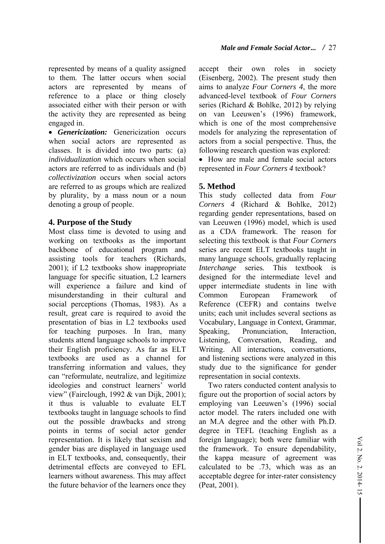represented by means of a quality assigned to them. The latter occurs when social actors are represented by means of reference to a place or thing closely associated either with their person or with the activity they are represented as being engaged in.

 *Genericization:* Genericization occurs when social actors are represented as classes. It is divided into two parts: (a) *individualization* which occurs when social actors are referred to as individuals and (b) *collectivization* occurs when social actors are referred to as groups which are realized by plurality, by a mass noun or a noun denoting a group of people.

# **4. Purpose of the Study**

Most class time is devoted to using and working on textbooks as the important backbone of educational program and assisting tools for teachers (Richards, 2001); if L2 textbooks show inappropriate language for specific situation, L2 learners will experience a failure and kind of misunderstanding in their cultural and social perceptions (Thomas, 1983). As a result, great care is required to avoid the presentation of bias in L2 textbooks used for teaching purposes. In Iran, many students attend language schools to improve their English proficiency. As far as ELT textbooks are used as a channel for transferring information and values, they can "reformulate, neutralize, and legitimize ideologies and construct learners' world view" (Fairclough, 1992 & van Dijk, 2001); it thus is valuable to evaluate ELT textbooks taught in language schools to find out the possible drawbacks and strong points in terms of social actor gender representation. It is likely that sexism and gender bias are displayed in language used in ELT textbooks, and, consequently, their detrimental effects are conveyed to EFL learners without awareness. This may affect the future behavior of the learners once they accept their own roles in society (Eisenberg, 2002). The present study then aims to analyze *Four Corners 4*, the more advanced-level textbook of *Four Corners*  series (Richard & Bohlke, 2012) by relying on van Leeuwen's (1996) framework, which is one of the most comprehensive models for analyzing the representation of actors from a social perspective. Thus, the following research question was explored:

 How are male and female social actors represented in *Four Corners 4* textbook?

# **5. Method**

This study collected data from *Four Corners 4* (Richard & Bohlke, 2012) regarding gender representations, based on van Leeuwen (1996) model, which is used as a CDA framework. The reason for selecting this textbook is that *Four Corners*  series are recent ELT textbooks taught in many language schools, gradually replacing *Interchange* series*.* This textbook is designed for the intermediate level and upper intermediate students in line with Common European Framework of Reference (CEFR) and contains twelve units; each unit includes several sections as Vocabulary, Language in Context, Grammar, Speaking, Pronunciation, Interaction, Listening, Conversation, Reading, and Writing. All interactions, conversations, and listening sections were analyzed in this study due to the significance for gender representation in social contexts.

Two raters conducted content analysis to figure out the proportion of social actors by employing van Leeuwen's (1996) social actor model. The raters included one with an M.A degree and the other with Ph.D. degree in TEFL (teaching English as a foreign language); both were familiar with the framework. To ensure dependability, the kappa measure of agreement was calculated to be .73, which was as an acceptable degree for inter-rater consistency (Peat, 2001).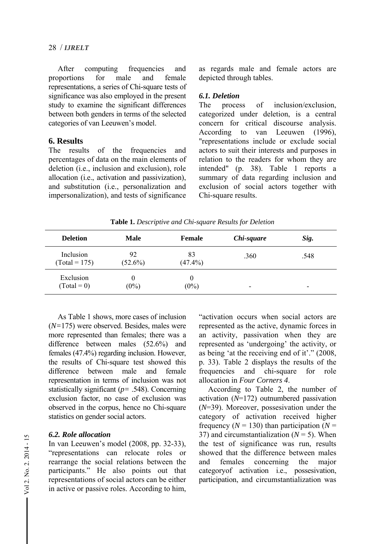After computing frequencies and proportions for male and female representations, a series of Chi-square tests of significance was also employed in the present study to examine the significant differences between both genders in terms of the selected categories of van Leeuwen's model.

## **6. Results**

The results of the frequencies and percentages of data on the main elements of deletion (i.e., inclusion and exclusion), role allocation (i.e., activation and passivization), and substitution (i.e., personalization and impersonalization), and tests of significance as regards male and female actors are depicted through tables.

#### *6.1. Deletion*

The process of inclusion/exclusion, categorized under deletion, is a central concern for critical discourse analysis. According to van Leeuwen (1996), "representations include or exclude social actors to suit their interests and purposes in relation to the readers for whom they are intended" (p. 38). Table 1 reports a summary of data regarding inclusion and exclusion of social actors together with Chi-square results.

| <b>Deletion</b>              | <b>Male</b>      | <b>Female</b>    | Chi-square | Sig. |
|------------------------------|------------------|------------------|------------|------|
| Inclusion<br>$(Total = 175)$ | 92<br>$(52.6\%)$ | 83<br>$(47.4\%)$ | .360       | .548 |
| Exclusion<br>$(Total = 0)$   | 0<br>$(0\%)$     | 0<br>$(0\%)$     | ۰          | -    |

**Table 1.** *Descriptive and Chi-square Results for Deletion*

As Table 1 shows, more cases of inclusion (*N=*175) were observed. Besides, males were more represented than females; there was a difference between males (52.6%) and females (47.4%) regarding inclusion. However, the results of Chi-square test showed this difference between male and female representation in terms of inclusion was not statistically significant (*p=* .548). Concerning exclusion factor, no case of exclusion was observed in the corpus, hence no Chi-square statistics on gender social actors.

## *6.2. Role allocation*

In van Leeuwen's model (2008, pp. 32-33), "representations can relocate roles or rearrange the social relations between the participants." He also points out that representations of social actors can be either in active or passive roles. According to him,

"activation occurs when social actors are represented as the active, dynamic forces in an activity, passivation when they are represented as 'undergoing' the activity, or as being 'at the receiving end of it'." (2008, p. 33). Table 2 displays the results of the frequencies and chi-square for role allocation in *Four Corners 4*.

According to Table 2, the number of activation (*N*=172) outnumbered passivation (*N*=39). Moreover, possesivation under the category of activation received higher frequency  $(N = 130)$  than participation  $(N = 130)$ 37) and circumstantialization  $(N = 5)$ . When the test of significance was run, results showed that the difference between males and females concerning the major categoryof activation i.e., possesivation, participation, and circumstantialization was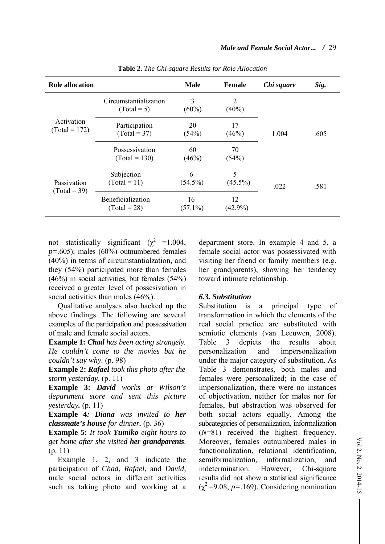| <b>Role allocation</b>        |                                        | <b>Male</b>      | <b>Female</b>    | Chi square | Sig. |
|-------------------------------|----------------------------------------|------------------|------------------|------------|------|
| Activation<br>$(Total = 172)$ | Circumstantialization<br>$(Total = 5)$ | 3<br>$(60\%)$    | 2<br>$(40\%)$    |            |      |
|                               | Participation<br>$(Total = 37)$        | 20<br>(54%)      | 17<br>(46%)      | 1.004      | .605 |
|                               | Possessivation<br>$(Total = 130)$      | 60<br>(46%)      | 70<br>(54%)      |            |      |
| Passivation<br>$(Total = 39)$ | Subjection<br>$(Total = 11)$           | 6<br>$(54.5\%)$  | 5<br>$(45.5\%)$  | .022       | .581 |
|                               | Beneficialization<br>$(Total = 28)$    | 16<br>$(57.1\%)$ | 12<br>$(42.9\%)$ |            |      |

**Table 2.** *The Chi-square Results for Role Allocation*

not statistically significant ( $\chi^2$  =1.004, *p=.*605); males (60%) outnumbered females (40%) in terms of circumstantialzation, and they (54%) participated more than females (46%) in social activities, but females (54%) received a greater level of possesivation in social activities than males (46%).

Qualitative analyses also backed up the above findings. The following are several examples of the participation and possessivation of male and female social actors.

**Example 1:** *Chad has been acting strangely. He couldn't come to the movies but he couldn't say why.* (p. 98)

**Example 2:** *Rafael took this photo after the storm yesterday.* (p. 11)

**Example 3:** *David works at Wilson's department store and sent this picture yesterday.* (p. 11)

**Example 4***: Diana was invited to her classmate's house for dinner.* (p. 36)

**Example 5:** *It took Yumiko eight hours to get home after she visited her grandparents*. (p. 11)

Example 1, 2, and 3 indicate the participation of *Chad*, *Rafael*, and *David*, male social actors in different activities such as taking photo and working at a

department store. In example 4 and 5, a female social actor was possessivated with visiting her friend or family members (e.g. her grandparents), showing her tendency toward intimate relationship.

#### *6.3. Substitution*

Substitution is a principal type of transformation in which the elements of the real social practice are substituted with semiotic elements (van Leeuwen, 2008). Table 3 depicts the results about personalization and impersonalization under the major category of substitution. As Table 3 demonstrates, both males and females were personalized; in the case of impersonalization, there were no instances of objectivation, neither for males nor for females, but abstraction was observed for both social actors equally. Among the subcategories of personalization, informalization (*N*=81) received the highest frequency. Moreover, females outnumbered males in functionalization, relational identification, semiformalization, informalization, and indetermination. However, Chi-square results did not show a statistical significance  $(\chi^2 = 9.08, p = .169)$ . Considering nomination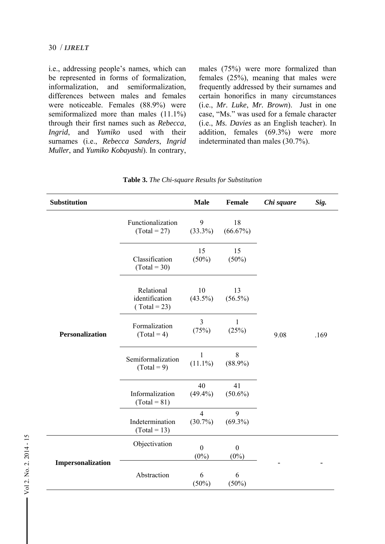#### 30 / *IJRELT*

i.e., addressing people's names, which can be represented in forms of formalization, informalization, and semiformalization, differences between males and females were noticeable. Females (88.9%) were semiformalized more than males  $(11.1\%)$ through their first names such as *Rebecca*, *Ingrid*, and *Yumiko* used with their surnames (i.e., *Rebecca Sanders*, *Ingrid Muller*, and *Yumiko Kobayashi*). In contrary,

males (75%) were more formalized than females (25%), meaning that males were frequently addressed by their surnames and certain honorifics in many circumstances (i.e., *Mr. Luke*, *Mr. Brown*). Just in one case, "Ms." was used for a female character (i.e., *Ms. Davies* as an English teacher). In addition, females (69.3%) were more indeterminated than males (30.7%).

| <b>Substitution</b>    |                                              | <b>Male</b>                  | Female                  | Chi square | Sig. |
|------------------------|----------------------------------------------|------------------------------|-------------------------|------------|------|
|                        | Functionalization<br>$(Total = 27)$          | 9<br>$(33.3\%)$              | 18<br>(66.67%)          |            |      |
| <b>Personalization</b> | Classification<br>$(Total = 30)$             | 15<br>$(50\%)$               | 15<br>$(50\%)$          |            |      |
|                        | Relational<br>identification<br>$Total = 23$ | 10<br>$(43.5\%)$             | 13<br>$(56.5\%)$        |            |      |
|                        | Formalization<br>$(Total = 4)$               | 3<br>(75%)                   | 1<br>(25%)              | 9.08       | .169 |
|                        | Semiformalization<br>$(Total = 9)$           | 1<br>$(11.1\%)$              | 8<br>$(88.9\%)$         |            |      |
|                        | Informalization<br>$(Total = 81)$            | 40<br>$(49.4\%)$             | 41<br>$(50.6\%)$        |            |      |
|                        | Indetermination<br>$(Total = 13)$            | $\overline{4}$<br>$(30.7\%)$ | 9<br>$(69.3\%)$         |            |      |
|                        | Objectivation                                | $\mathbf{0}$<br>$(0\%)$      | $\mathbf{0}$<br>$(0\%)$ |            |      |
| Impersonalization      | Abstraction                                  | 6<br>(50%)                   | 6<br>$(50\%)$           |            |      |

**Table 3.** *The Chi-square Results for Substitution*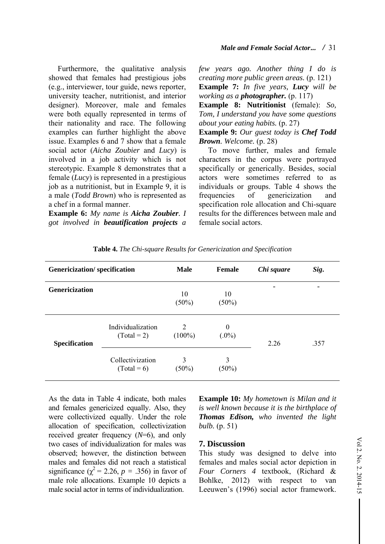Furthermore, the qualitative analysis showed that females had prestigious jobs (e.g., interviewer, tour guide, news reporter, university teacher, nutritionist, and interior designer). Moreover, male and females were both equally represented in terms of their nationality and race. The following examples can further highlight the above issue. Examples 6 and 7 show that a female social actor (*Aicha Zoubier* and *Lucy*) is involved in a job activity which is not stereotypic. Example 8 demonstrates that a female (*Lucy*) is represented in a prestigious job as a nutritionist, but in Example 9, it is a male (*Todd Brown*) who is represented as a chef in a formal manner.

**Example 6:** *My name is Aicha Zoubier. I got involved in beautification projects a*  *few years ago. Another thing I do is creating more public green areas.* (p. 121) **Example 7:** *In five years, Lucy will be working as a photographer.* (p. 117)

**Example 8: Nutritionist** (female): *So, Tom, I understand you have some questions about your eating habits.* (p. 27)

**Example 9:** *Our guest today is Chef Todd Brown. Welcome.* (p. 28)

To move further, males and female characters in the corpus were portrayed specifically or generically. Besides, social actors were sometimes referred to as individuals or groups. Table 4 shows the frequencies of genericization and specification role allocation and Chi-square results for the differences between male and female social actors.

| <b>Genericization/specification</b> |                                    | <b>Male</b>    | <b>Female</b>        | Chi square | Sig. |
|-------------------------------------|------------------------------------|----------------|----------------------|------------|------|
| <b>Genericization</b>               |                                    | 10<br>$(50\%)$ | 10<br>$(50\%)$       |            | -    |
| <b>Specification</b>                | Individualization<br>$(Total = 2)$ | 2<br>$(100\%)$ | $\theta$<br>$(.0\%)$ | 2.26       | .357 |
|                                     | Collectivization<br>$(Total = 6)$  | 3<br>$(50\%)$  | 3<br>$(50\%)$        |            |      |

**Table 4.** *The Chi-square Results for Genericization and Specification*

As the data in Table 4 indicate, both males and females genericized equally. Also, they were collectivized equally. Under the role allocation of specification, collectivization received greater frequency (*N*=6), and only two cases of individualization for males was observed; however, the distinction between males and females did not reach a statistical significance  $(\chi^2 = 2.26, p = .356)$  in favor of male role allocations. Example 10 depicts a male social actor in terms of individualization.

**Example 10:** *My hometown is Milan and it is well known because it is the birthplace of Thomas Edison, who invented the light bulb.* (p. 51)

#### **7. Discussion**

This study was designed to delve into females and males social actor depiction in *Four Corners 4* textbook, (Richard & Bohlke, 2012) with respect to van Leeuwen's (1996) social actor framework.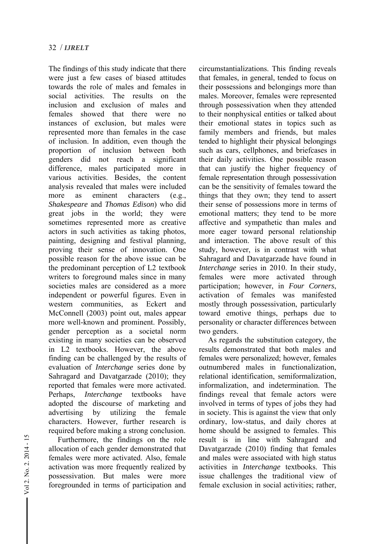The findings of this study indicate that there were just a few cases of biased attitudes towards the role of males and females in social activities. The results on the inclusion and exclusion of males and females showed that there were no instances of exclusion, but males were represented more than females in the case of inclusion. In addition, even though the proportion of inclusion between both genders did not reach a significant difference, males participated more in various activities. Besides, the content analysis revealed that males were included more as eminent characters (e.g., *Shakespeare* and *Thomas Edison*) who did great jobs in the world; they were sometimes represented more as creative actors in such activities as taking photos, painting, designing and festival planning, proving their sense of innovation. One possible reason for the above issue can be the predominant perception of L2 textbook writers to foreground males since in many societies males are considered as a more independent or powerful figures. Even in western communities, as Eckert and McConnell (2003) point out, males appear more well-known and prominent. Possibly, gender perception as a societal norm existing in many societies can be observed in L2 textbooks. However, the above finding can be challenged by the results of evaluation of *Interchange* series done by Sahragard and Davatgarzade (2010); they reported that females were more activated. Perhaps, *Interchange* textbooks have adopted the discourse of marketing and advertising by utilizing the female characters. However, further research is required before making a strong conclusion.

Furthermore, the findings on the role allocation of each gender demonstrated that females were more activated. Also, female activation was more frequently realized by possessivation. But males were more foregrounded in terms of participation and circumstantializations. This finding reveals that females, in general, tended to focus on their possessions and belongings more than males. Moreover, females were represented through possessivation when they attended to their nonphysical entities or talked about their emotional states in topics such as family members and friends, but males tended to highlight their physical belongings such as cars, cellphones, and briefcases in their daily activities. One possible reason that can justify the higher frequency of female representation through possessivation can be the sensitivity of females toward the things that they own; they tend to assert their sense of possessions more in terms of emotional matters; they tend to be more affective and sympathetic than males and more eager toward personal relationship and interaction. The above result of this study, however, is in contrast with what Sahragard and Davatgarzade have found in *Interchange* series in 2010. In their study, females were more activated through participation; however, in *Four Corners*, activation of females was manifested mostly through possessivation, particularly toward emotive things, perhaps due to personality or character differences between two genders.

As regards the substitution category, the results demonstrated that both males and females were personalized; however, females outnumbered males in functionalization, relational identification, semiformalization, informalization, and indetermination. The findings reveal that female actors were involved in terms of types of jobs they had in society. This is against the view that only ordinary, low-status, and daily chores at home should be assigned to females. This result is in line with Sahragard and Davatgarzade (2010) finding that females and males were associated with high status activities in *Interchange* textbooks. This issue challenges the traditional view of female exclusion in social activities; rather,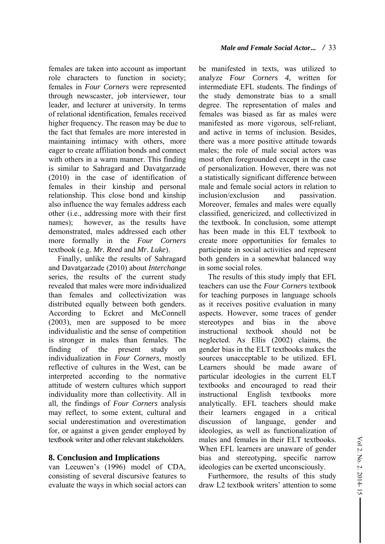females are taken into account as important role characters to function in society; females in *Four Corners* were represented through newscaster, job interviewer, tour leader, and lecturer at university. In terms of relational identification, females received higher frequency. The reason may be due to the fact that females are more interested in maintaining intimacy with others, more eager to create affiliation bonds and connect with others in a warm manner. This finding is similar to Sahragard and Davatgarzade (2010) in the case of identification of females in their kinship and personal relationship. This close bond and kinship also influence the way females address each other (i.e., addressing more with their first names); however, as the results have demonstrated, males addressed each other more formally in the *Four Corners* textbook (e.g. *Mr. Reed* and *Mr. Luke*).

Finally, unlike the results of Sahragard and Davatgarzade (2010) about *Interchange*  series, the results of the current study revealed that males were more individualized than females and collectivization was distributed equally between both genders. According to Eckret and McConnell (2003), men are supposed to be more individualistic and the sense of competition is stronger in males than females. The finding of the present study on individualization in *Four Corners,* mostly reflective of cultures in the West, can be interpreted according to the normative attitude of western cultures which support individuality more than collectivity. All in all, the findings of *Four Corners* analysis may reflect, to some extent, cultural and social underestimation and overestimation for, or against a given gender employed by textbook writer and other relevant stakeholders.

## **8. Conclusion and Implications**

van Leeuwen's (1996) model of CDA, consisting of several discursive features to evaluate the ways in which social actors can be manifested in texts, was utilized to analyze *Four Corners 4,* written for intermediate EFL students. The findings of the study demonstrate bias to a small degree. The representation of males and females was biased as far as males were manifested as more vigorous, self-reliant, and active in terms of inclusion. Besides, there was a more positive attitude towards males; the role of male social actors was most often foregrounded except in the case of personalization. However, there was not a statistically significant difference between male and female social actors in relation to inclusion/exclusion and passivation Moreover, females and males were equally classified, genericized, and collectivized in the textbook. In conclusion, some attempt has been made in this ELT textbook to create more opportunities for females to participate in social activities and represent both genders in a somewhat balanced way in some social roles.

The results of this study imply that EFL teachers can use the *Four Corners* textbook for teaching purposes in language schools as it receives positive evaluation in many aspects. However, some traces of gender stereotypes and bias in the above instructional textbook should not be neglected. As Ellis (2002) claims, the gender bias in the ELT textbooks makes the sources unacceptable to be utilized. EFL Learners should be made aware of particular ideologies in the current ELT textbooks and encouraged to read their instructional English textbooks more analytically. EFL teachers should make their learners engaged in a critical discussion of language, gender and ideologies, as well as functionalization of males and females in their ELT textbooks. When EFL learners are unaware of gender bias and stereotyping, specific narrow ideologies can be exerted unconsciously.

Furthermore, the results of this study draw L2 textbook writers' attention to some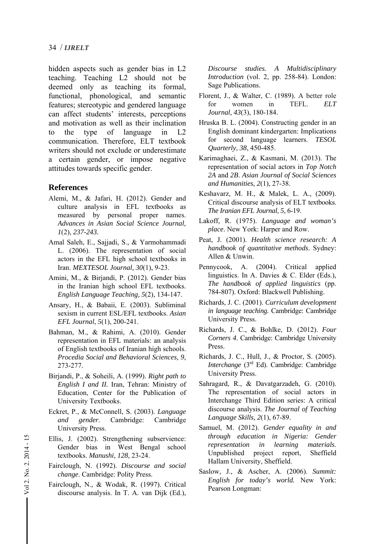hidden aspects such as gender bias in L2 teaching. Teaching L2 should not be deemed only as teaching its formal, functional, phonological, and semantic features; stereotypic and gendered language can affect students' interests, perceptions and motivation as well as their inclination to the type of language in L2 communication. Therefore, ELT textbook writers should not exclude or underestimate a certain gender, or impose negative attitudes towards specific gender.

## **References**

- Alemi, M., & Jafari, H. (2012). Gender and culture analysis in EFL textbooks as measured by personal proper names. *Advances in Asian Social Science Journal, 1*(2), *237-243.*
- Amal Saleh, E., Sajjadi, S., & Yarmohammadi L. (2006). The representation of social actors in the EFL high school textbooks in Iran. *MEXTESOL Journal, 30*(1), 9-23.
- Amini, M., & Birjandi, P. (2012). Gender bias in the Iranian high school EFL textbooks. *English Language Teaching, 5*(2), 134-147.
- Ansary, H., & Babaii, E. (2003). Subliminal sexism in current ESL/EFL textbooks. *Asian EFL Journal*, *5*(1), 200-241.
- Bahman, M., & Rahimi, A. (2010). Gender representation in EFL materials: an analysis of English textbooks of Iranian high schools. *Procedia Social and Behavioral Sciences, 9*, 273-277.
- Birjandi, P., & Soheili, A. (1999). *Right path to English I and II.* Iran, Tehran: Ministry of Education, Center for the Publication of University Textbooks.
- Eckret, P., & McConnell, S. (2003). *Language and gender*. Cambridge: Cambridge University Press.
- Ellis, J. (2002). Strengthening subservience: Gender bias in West Bengal school textbooks. *Manushi, 128,* 23-24.
- Fairclough, N. (1992). *Discourse and social change*. Cambridge: Polity Press.
- Fairclough, N., & Wodak, R. (1997). Critical discourse analysis. In T. A. van Dijk (Ed.),

*Discourse studies. A Multidisciplinary Introduction* (vol. 2, pp. 258-84). London: Sage Publications.

- Florent, J., & Walter, C. (1989). A better role for women in TEFL. *ELT Journal, 43*(3), 180-184.
- Hruska B. L. (2004). Constructing gender in an English dominant kindergarten: Implications for second language learners. *TESOL Quarterly*, *38*, 450-485.
- Karimaghaei, Z., & Kasmani, M. (2013). The representation of social actors in *Top Notch 2A* and *2B*. *Asian Journal of Social Sciences and Humanities, 2*(1), 27-38.
- Keshavarz, M. H., & Malek, L. A., (2009). Critical discourse analysis of ELT textbooks. *The Iranian EFL Journal*, *5*, 6-19.
- Lakoff, R. (1975). *Language and woman's place*. New York: Harper and Row.
- Peat, J. (2001). *Health science research: A handbook of quantitative methods*. Sydney: Allen & Unwin.
- Pennycook, A. (2004). Critical applied linguistics. In A. Davies & C. Elder (Eds.), *The handbook of applied linguistics* (pp. 784-807). Oxford: Blackwell Publishing.
- Richards, J. C. (2001). *Curriculum development in language teaching.* Cambridge: Cambridge University Press.
- Richards, J. C., & Bohlke, D. (2012). *Four Corners 4*. Cambridge: Cambridge University Press.
- Richards, J. C., Hull, J., & Proctor, S. (2005). *Interchange* (3<sup>rd</sup> Ed). Cambridge: Cambridge University Press.
- Sahragard, R., & Davatgarzadeh, G. (2010). The representation of social actors in Interchange Third Edition series: A critical discourse analysis. *The Journal of Teaching Language Skills, 2*(1), 67-89.
- Samuel, M. (2012). *Gender equality in and through education in Nigeria: Gender representation in learning materials*. Unpublished project report, Sheffield Hallam University, Sheffield.
- Saslow, J., & Ascher, A. (2006). *Summit: English for today's world.* New York: Pearson Longman: